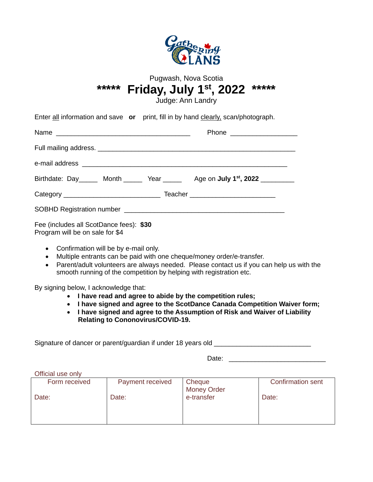

### Pugwash, Nova Scotia **\*\*\*\*\* Friday, July 1st, 2022 \*\*\*\*\***

Judge: Ann Landry

|  | Enter all information and save or print, fill in by hand clearly, scan/photograph. |
|--|------------------------------------------------------------------------------------|
|  |                                                                                    |

|                                                                            | Birthdate: Day ______ Month ______ Year ______ Age on July 1 <sup>st</sup> , 2022 _________ |  |  |
|----------------------------------------------------------------------------|---------------------------------------------------------------------------------------------|--|--|
|                                                                            |                                                                                             |  |  |
|                                                                            |                                                                                             |  |  |
| Fee (includes all ScotDance fees): \$30<br>Program will be on sale for \$4 |                                                                                             |  |  |

- Confirmation will be by e-mail only.
- Multiple entrants can be paid with one cheque/money order/e-transfer.
- Parent/adult volunteers are always needed. Please contact us if you can help us with the smooth running of the competition by helping with registration etc.

By signing below, I acknowledge that:

- **I have read and agree to abide by the competition rules;**
- **I have signed and agree to the ScotDance Canada Competition Waiver form;**
- **I have signed and agree to the Assumption of Risk and Waiver of Liability Relating to Cononovirus/COVID-19.**

Signature of dancer or parent/guardian if under 18 years old \_\_\_\_\_\_\_\_\_\_\_\_\_\_\_\_\_\_\_\_

Date: \_\_\_\_\_\_\_\_\_\_\_\_\_\_\_\_\_\_\_\_\_\_\_\_\_\_

Official use only

| Form received | Payment received | Cheque                    | <b>Confirmation sent</b> |
|---------------|------------------|---------------------------|--------------------------|
| Date:         | Date:            | Money Order<br>e-transfer | Date:                    |
|               |                  |                           |                          |
|               |                  |                           |                          |
|               |                  |                           |                          |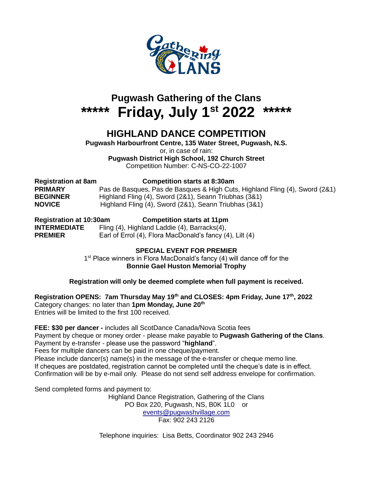

# **Pugwash Gathering of the Clans \*\*\*\*\* Friday, July 1st 2022 \*\*\*\*\***

### **HIGHLAND DANCE COMPETITION**

**Pugwash Harbourfront Centre, 135 Water Street, Pugwash, N.S.** or, in case of rain: **Pugwash District High School, 192 Church Street**

Competition Number: C-NS-CO-22-1007

| <b>Registration at 8am</b> | <b>Competition starts at 8:30am</b>                                         |
|----------------------------|-----------------------------------------------------------------------------|
| <b>PRIMARY</b>             | Pas de Basques, Pas de Basques & High Cuts, Highland Fling (4), Sword (2&1) |
| <b>BEGINNER</b>            | Highland Fling (4), Sword (2&1), Seann Triubhas (3&1)                       |
| <b>NOVICE</b>              | Highland Fling (4), Sword (2&1), Seann Triubhas (3&1)                       |

**Registration at 10:30am Competition starts at 11pm INTERMEDIATE** Fling (4), Highland Laddie (4), Barracks(4), **PREMIER** Earl of Errol (4), Flora MacDonald's fancy (4), Lilt (4)

#### **SPECIAL EVENT FOR PREMIER**

1<sup>st</sup> Place winners in Flora MacDonald's fancy (4) will dance off for the **Bonnie Gael Huston Memorial Trophy**

#### **Registration will only be deemed complete when full payment is received.**

**Registration OPENS: 7am Thursday May 19th and CLOSES: 4pm Friday, June 17th, 2022** Category changes: no later than **1pm Monday, June 20th**  Entries will be limited to the first 100 received.

**FEE: \$30 per dancer -** includes all ScotDance Canada/Nova Scotia fees

Payment by cheque or money order - please make payable to **Pugwash Gathering of the Clans**. Payment by e-transfer - please use the password "**highland**".

Fees for multiple dancers can be paid in one cheque/payment.

Please include dancer(s) name(s) in the message of the e-transfer or cheque memo line. If cheques are postdated, registration cannot be completed until the cheque's date is in effect. Confirmation will be by e-mail only. Please do not send self address envelope for confirmation.

Send completed forms and payment to:

Highland Dance Registration, Gathering of the Clans PO Box 220, Pugwash, NS, B0K 1L0 or [events@pugwashvillage.com](mailto:events@pugwashvillage.com) Fax: 902 243 2126

Telephone inquiries: Lisa Betts, Coordinator 902 243 2946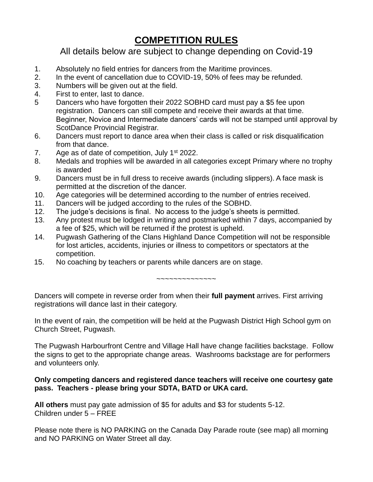### **COMPETITION RULES**

All details below are subject to change depending on Covid-19

- 1. Absolutely no field entries for dancers from the Maritime provinces.
- 2. In the event of cancellation due to COVID-19, 50% of fees may be refunded.
- 3. Numbers will be given out at the field.
- 4. First to enter, last to dance.
- 5 Dancers who have forgotten their 2022 SOBHD card must pay a \$5 fee upon registration. Dancers can still compete and receive their awards at that time. Beginner, Novice and Intermediate dancers' cards will not be stamped until approval by ScotDance Provincial Registrar.
- 6. Dancers must report to dance area when their class is called or risk disqualification from that dance.
- 7. Age as of date of competition, July  $1<sup>st</sup>$  2022.
- 8. Medals and trophies will be awarded in all categories except Primary where no trophy is awarded
- 9. Dancers must be in full dress to receive awards (including slippers). A face mask is permitted at the discretion of the dancer.
- 10. Age categories will be determined according to the number of entries received.
- 11. Dancers will be judged according to the rules of the SOBHD.
- 12. The judge's decisions is final. No access to the judge's sheets is permitted.
- 13. Any protest must be lodged in writing and postmarked within 7 days, accompanied by a fee of \$25, which will be returned if the protest is upheld.
- 14. Pugwash Gathering of the Clans Highland Dance Competition will not be responsible for lost articles, accidents, injuries or illness to competitors or spectators at the competition.
- 15. No coaching by teachers or parents while dancers are on stage.

~~~~~~~~~~~~~~

Dancers will compete in reverse order from when their **full payment** arrives. First arriving registrations will dance last in their category.

In the event of rain, the competition will be held at the Pugwash District High School gym on Church Street, Pugwash.

The Pugwash Harbourfront Centre and Village Hall have change facilities backstage. Follow the signs to get to the appropriate change areas. Washrooms backstage are for performers and volunteers only.

#### **Only competing dancers and registered dance teachers will receive one courtesy gate pass. Teachers - please bring your SDTA, BATD or UKA card.**

**All others** must pay gate admission of \$5 for adults and \$3 for students 5-12. Children under 5 – FREE

Please note there is NO PARKING on the Canada Day Parade route (see map) all morning and NO PARKING on Water Street all day.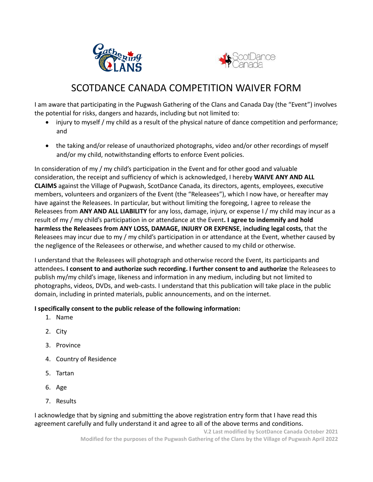



### SCOTDANCE CANADA COMPETITION WAIVER FORM

I am aware that participating in the Pugwash Gathering of the Clans and Canada Day (the "Event") involves the potential for risks, dangers and hazards, including but not limited to:

- injury to myself / my child as a result of the physical nature of dance competition and performance; and
- the taking and/or release of unauthorized photographs, video and/or other recordings of myself and/or my child, notwithstanding efforts to enforce Event policies.

In consideration of my / my child's participation in the Event and for other good and valuable consideration, the receipt and sufficiency of which is acknowledged, I hereby **WAIVE ANY AND ALL CLAIMS** against the Village of Pugwash, ScotDance Canada, its directors, agents, employees, executive members, volunteers and organizers of the Event (the "Releasees"), which I now have, or hereafter may have against the Releasees. In particular, but without limiting the foregoing, I agree to release the Releasees from **ANY AND ALL LIABILITY** for any loss, damage, injury, or expense I / my child may incur as a result of my / my child's participation in or attendance at the Event**. I agree to indemnify and hold harmless the Releasees from ANY LOSS, DAMAGE, INJURY OR EXPENSE**, **including legal costs,** that the Releasees may incur due to my / my child's participation in or attendance at the Event, whether caused by the negligence of the Releasees or otherwise, and whether caused to my child or otherwise.

I understand that the Releasees will photograph and otherwise record the Event, its participants and attendees**. I consent to and authorize such recording. I further consent to and authorize** the Releasees to publish my/my child's image, likeness and information in any medium, including but not limited to photographs, videos, DVDs, and web-casts. I understand that this publication will take place in the public domain, including in printed materials, public announcements, and on the internet.

#### **I specifically consent to the public release of the following information:**

- 1. Name
- 2. City
- 3. Province
- 4. Country of Residence
- 5. Tartan
- 6. Age
- 7. Results

I acknowledge that by signing and submitting the above registration entry form that I have read this agreement carefully and fully understand it and agree to all of the above terms and conditions.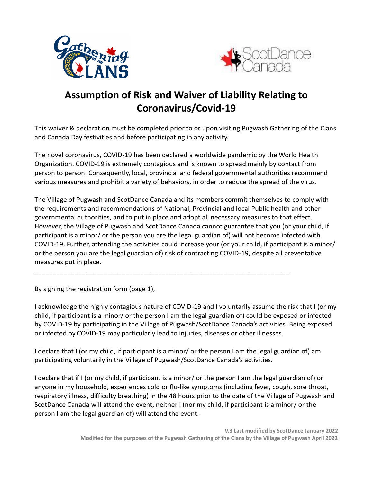



## **Assumption of Risk and Waiver of Liability Relating to Coronavirus/Covid-19**

This waiver & declaration must be completed prior to or upon visiting Pugwash Gathering of the Clans and Canada Day festivities and before participating in any activity.

The novel coronavirus, COVID-19 has been declared a worldwide pandemic by the World Health Organization. COVID-19 is extremely contagious and is known to spread mainly by contact from person to person. Consequently, local, provincial and federal governmental authorities recommend various measures and prohibit a variety of behaviors, in order to reduce the spread of the virus.

The Village of Pugwash and ScotDance Canada and its members commit themselves to comply with the requirements and recommendations of National, Provincial and local Public health and other governmental authorities, and to put in place and adopt all necessary measures to that effect. However, the Village of Pugwash and ScotDance Canada cannot guarantee that you (or your child, if participant is a minor/ or the person you are the legal guardian of) will not become infected with COVID-19. Further, attending the activities could increase your (or your child, if participant is a minor/ or the person you are the legal guardian of) risk of contracting COVID-19, despite all preventative measures put in place.

\_\_\_\_\_\_\_\_\_\_\_\_\_\_\_\_\_\_\_\_\_\_\_\_\_\_\_\_\_\_\_\_\_\_\_\_\_\_\_\_\_\_\_\_\_\_\_\_\_\_\_\_\_\_\_\_\_\_\_\_\_\_\_\_\_\_\_\_\_\_

By signing the registration form (page 1),

I acknowledge the highly contagious nature of COVID-19 and I voluntarily assume the risk that I (or my child, if participant is a minor/ or the person I am the legal guardian of) could be exposed or infected by COVID-19 by participating in the Village of Pugwash/ScotDance Canada's activities. Being exposed or infected by COVID-19 may particularly lead to injuries, diseases or other illnesses.

I declare that I (or my child, if participant is a minor/ or the person I am the legal guardian of) am participating voluntarily in the Village of Pugwash/ScotDance Canada's activities.

I declare that if I (or my child, if participant is a minor/ or the person I am the legal guardian of) or anyone in my household, experiences cold or flu-like symptoms (including fever, cough, sore throat, respiratory illness, difficulty breathing) in the 48 hours prior to the date of the Village of Pugwash and ScotDance Canada will attend the event, neither I (nor my child, if participant is a minor/ or the person I am the legal guardian of) will attend the event.